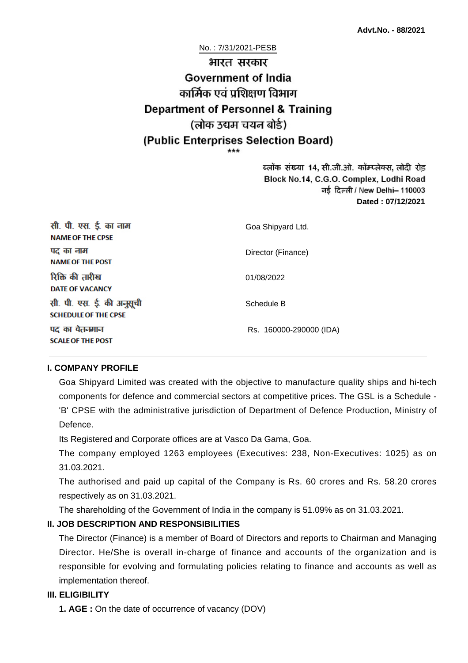# No. : 7/31/2021-PESB भारत सरकार **Government of India** कार्मिक एवं पशिक्षण विभाग **Department of Personnel & Training** (लोक उद्यम चयन बोर्ड) (Public Enterprises Selection Board)

ब्लॉक संख्या 14, सी.जी.ओ. कॉम्प्लेक्स, लोदी रोड Block No.14, C.G.O. Complex, Lodhi Road ਰई दिल्ली / New Delhi– 110003 **Dated : 07/12/2021**

| सी. पी. एस. ई. का नाम<br><b>NAME OF THE CPSE</b>         | Goa Shipyard Ltd.       |
|----------------------------------------------------------|-------------------------|
| पद का नाम<br><b>NAME OF THE POST</b>                     | Director (Finance)      |
| रिक्ति की तारीख<br><b>DATE OF VACANCY</b>                | 01/08/2022              |
| सी. पी. एस. ई. की अनुसूची<br><b>SCHEDULE OF THE CPSE</b> | Schedule B              |
| पद का वेतनमान<br><b>SCALE OF THE POST</b>                | Rs. 160000-290000 (IDA) |

#### **I. COMPANY PROFILE**

Goa Shipyard Limited was created with the objective to manufacture quality ships and hi-tech components for defence and commercial sectors at competitive prices. The GSL is a Schedule - 'B' CPSE with the administrative jurisdiction of Department of Defence Production, Ministry of Defence.

Its Registered and Corporate offices are at Vasco Da Gama, Goa.

The company employed 1263 employees (Executives: 238, Non-Executives: 1025) as on 31.03.2021.

The authorised and paid up capital of the Company is Rs. 60 crores and Rs. 58.20 crores respectively as on 31.03.2021.

The shareholding of the Government of India in the company is 51.09% as on 31.03.2021.

#### **II. JOB DESCRIPTION AND RESPONSIBILITIES**

The Director (Finance) is a member of Board of Directors and reports to Chairman and Managing Director. He/She is overall in-charge of finance and accounts of the organization and is responsible for evolving and formulating policies relating to finance and accounts as well as implementation thereof.

#### **III. ELIGIBILITY**

**1. AGE :** On the date of occurrence of vacancy (DOV)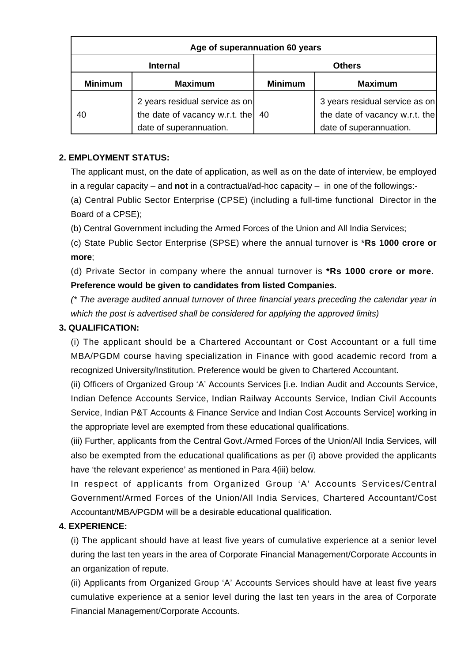| Age of superannuation 60 years |                                                                                             |                |                                                                                             |
|--------------------------------|---------------------------------------------------------------------------------------------|----------------|---------------------------------------------------------------------------------------------|
| <b>Internal</b>                |                                                                                             | <b>Others</b>  |                                                                                             |
| <b>Minimum</b>                 | <b>Maximum</b>                                                                              | <b>Minimum</b> | <b>Maximum</b>                                                                              |
| 40                             | 2 years residual service as on<br>the date of vacancy w.r.t. the<br>date of superannuation. | 40             | 3 years residual service as on<br>the date of vacancy w.r.t. the<br>date of superannuation. |

# **2. EMPLOYMENT STATUS:**

The applicant must, on the date of application, as well as on the date of interview, be employed in a regular capacity – and **not** in a contractual/ad-hoc capacity – in one of the followings:-

(a) Central Public Sector Enterprise (CPSE) (including a full-time functional Director in the Board of a CPSE);

(b) Central Government including the Armed Forces of the Union and All India Services;

(c) State Public Sector Enterprise (SPSE) where the annual turnover is \***Rs 1000 crore or more**;

(d) Private Sector in company where the annual turnover is **\*Rs 1000 crore or more**. **Preference would be given to candidates from listed Companies.**

(\* The average audited annual turnover of three financial years preceding the calendar year in which the post is advertised shall be considered for applying the approved limits)

#### **3. QUALIFICATION:**

(i) The applicant should be a Chartered Accountant or Cost Accountant or a full time MBA/PGDM course having specialization in Finance with good academic record from a recognized University/Institution. Preference would be given to Chartered Accountant.

(ii) Officers of Organized Group 'A' Accounts Services [i.e. Indian Audit and Accounts Service, Indian Defence Accounts Service, Indian Railway Accounts Service, Indian Civil Accounts Service, Indian P&T Accounts & Finance Service and Indian Cost Accounts Service] working in the appropriate level are exempted from these educational qualifications.

(iii) Further, applicants from the Central Govt./Armed Forces of the Union/All India Services, will also be exempted from the educational qualifications as per (i) above provided the applicants have 'the relevant experience' as mentioned in Para 4(iii) below.

In respect of applicants from Organized Group 'A' Accounts Services/Central Government/Armed Forces of the Union/All India Services, Chartered Accountant/Cost Accountant/MBA/PGDM will be a desirable educational qualification.

#### **4. EXPERIENCE:**

(i) The applicant should have at least five years of cumulative experience at a senior level during the last ten years in the area of Corporate Financial Management/Corporate Accounts in an organization of repute.

(ii) Applicants from Organized Group 'A' Accounts Services should have at least five years cumulative experience at a senior level during the last ten years in the area of Corporate Financial Management/Corporate Accounts.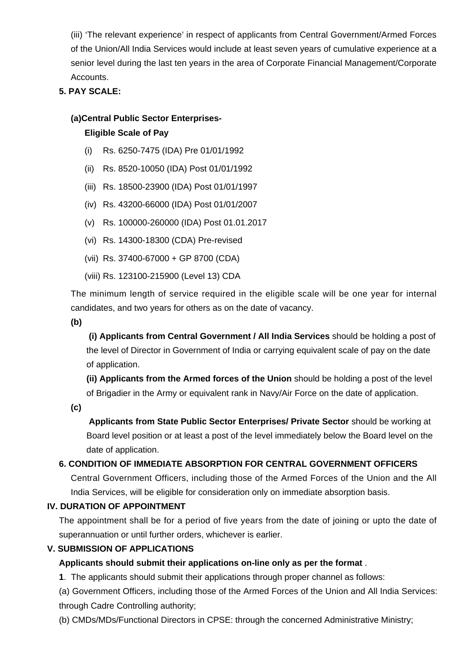(iii) 'The relevant experience' in respect of applicants from Central Government/Armed Forces of the Union/All India Services would include at least seven years of cumulative experience at a senior level during the last ten years in the area of Corporate Financial Management/Corporate Accounts.

# **5. PAY SCALE:**

#### **(a)Central Public Sector Enterprises-**

#### **Eligible Scale of Pay**

- (i) Rs. 6250-7475 (IDA) Pre 01/01/1992
- (ii) Rs. 8520-10050 (IDA) Post 01/01/1992
- (iii) Rs. 18500-23900 (IDA) Post 01/01/1997
- (iv) Rs. 43200-66000 (IDA) Post 01/01/2007
- (v) Rs. 100000-260000 (IDA) Post 01.01.2017
- (vi) Rs. 14300-18300 (CDA) Pre-revised
- (vii) Rs. 37400-67000 + GP 8700 (CDA)
- (viii) Rs. 123100-215900 (Level 13) CDA

The minimum length of service required in the eligible scale will be one year for internal candidates, and two years for others as on the date of vacancy.

**(b)**

**(i) Applicants from Central Government / All India Services** should be holding a post of the level of Director in Government of India or carrying equivalent scale of pay on the date of application.

**(ii) Applicants from the Armed forces of the Union** should be holding a post of the level of Brigadier in the Army or equivalent rank in Navy/Air Force on the date of application.

**(c)**

 **Applicants from State Public Sector Enterprises/ Private Sector** should be working at Board level position or at least a post of the level immediately below the Board level on the date of application.

#### **6. CONDITION OF IMMEDIATE ABSORPTION FOR CENTRAL GOVERNMENT OFFICERS**

Central Government Officers, including those of the Armed Forces of the Union and the All India Services, will be eligible for consideration only on immediate absorption basis.

#### **IV. DURATION OF APPOINTMENT**

The appointment shall be for a period of five years from the date of joining or upto the date of superannuation or until further orders, whichever is earlier.

#### **V. SUBMISSION OF APPLICATIONS**

#### **Applicants should submit their applications on-line only as per the format** .

**1**. The applicants should submit their applications through proper channel as follows:

(a) Government Officers, including those of the Armed Forces of the Union and All India Services: through Cadre Controlling authority;

(b) CMDs/MDs/Functional Directors in CPSE: through the concerned Administrative Ministry;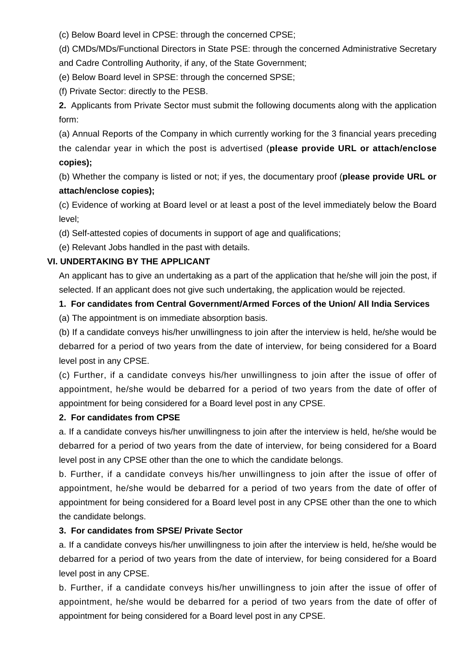(c) Below Board level in CPSE: through the concerned CPSE;

(d) CMDs/MDs/Functional Directors in State PSE: through the concerned Administrative Secretary and Cadre Controlling Authority, if any, of the State Government;

(e) Below Board level in SPSE: through the concerned SPSE;

(f) Private Sector: directly to the PESB.

**2.** Applicants from Private Sector must submit the following documents along with the application form:

(a) Annual Reports of the Company in which currently working for the 3 financial years preceding the calendar year in which the post is advertised (**please provide URL or attach/enclose copies);**

(b) Whether the company is listed or not; if yes, the documentary proof (**please provide URL or attach/enclose copies);**

(c) Evidence of working at Board level or at least a post of the level immediately below the Board level;

(d) Self-attested copies of documents in support of age and qualifications;

(e) Relevant Jobs handled in the past with details.

# **VI. UNDERTAKING BY THE APPLICANT**

An applicant has to give an undertaking as a part of the application that he/she will join the post, if selected. If an applicant does not give such undertaking, the application would be rejected.

# **1. For candidates from Central Government/Armed Forces of the Union/ All India Services**

(a) The appointment is on immediate absorption basis.

(b) If a candidate conveys his/her unwillingness to join after the interview is held, he/she would be debarred for a period of two years from the date of interview, for being considered for a Board level post in any CPSE.

(c) Further, if a candidate conveys his/her unwillingness to join after the issue of offer of appointment, he/she would be debarred for a period of two years from the date of offer of appointment for being considered for a Board level post in any CPSE.

#### **2. For candidates from CPSE**

a. If a candidate conveys his/her unwillingness to join after the interview is held, he/she would be debarred for a period of two years from the date of interview, for being considered for a Board level post in any CPSE other than the one to which the candidate belongs.

b. Further, if a candidate conveys his/her unwillingness to join after the issue of offer of appointment, he/she would be debarred for a period of two years from the date of offer of appointment for being considered for a Board level post in any CPSE other than the one to which the candidate belongs.

#### **3. For candidates from SPSE/ Private Sector**

a. If a candidate conveys his/her unwillingness to join after the interview is held, he/she would be debarred for a period of two years from the date of interview, for being considered for a Board level post in any CPSE.

b. Further, if a candidate conveys his/her unwillingness to join after the issue of offer of appointment, he/she would be debarred for a period of two years from the date of offer of appointment for being considered for a Board level post in any CPSE.